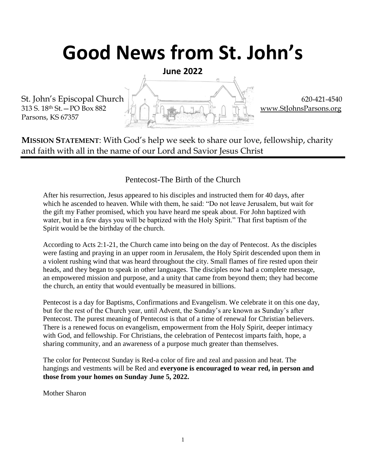# **Good News from St. John's**

**June 2022**

Parsons, KS 67357



**MISSION STATEMENT**: With God's help we seek to share our love, fellowship, charity and faith with all in the name of our Lord and Savior Jesus Christ

#### Pentecost-The Birth of the Church

After his resurrection, Jesus appeared to his disciples and instructed them for 40 days, after which he ascended to heaven. While with them, he said: "Do not leave Jerusalem, but wait for the gift my Father promised, which you have heard me speak about. For John baptized with water, but in a few days you will be baptized with the Holy Spirit." That first baptism of the Spirit would be the birthday of the church.

According to Acts 2:1-21, the Church came into being on the day of Pentecost. As the disciples were fasting and praying in an upper room in Jerusalem, the Holy Spirit descended upon them in a violent rushing wind that was heard throughout the city. Small flames of fire rested upon their heads, and they began to speak in other languages. The disciples now had a complete message, an empowered mission and purpose, and a unity that came from beyond them; they had become the church, an entity that would eventually be measured in billions.

Pentecost is a day for Baptisms, Confirmations and Evangelism. We celebrate it on this one day, but for the rest of the Church year, until Advent, the Sunday's are known as Sunday's after Pentecost. The purest meaning of Pentecost is that of a time of renewal for Christian believers. There is a renewed focus on evangelism, empowerment from the Holy Spirit, deeper intimacy with God, and fellowship. For Christians, the celebration of Pentecost imparts faith, hope, a sharing community, and an awareness of a purpose much greater than themselves.

The color for Pentecost Sunday is Red-a color of fire and zeal and passion and heat. The hangings and vestments will be Red and **everyone is encouraged to wear red, in person and those from your homes on Sunday June 5, 2022.**

Mother Sharon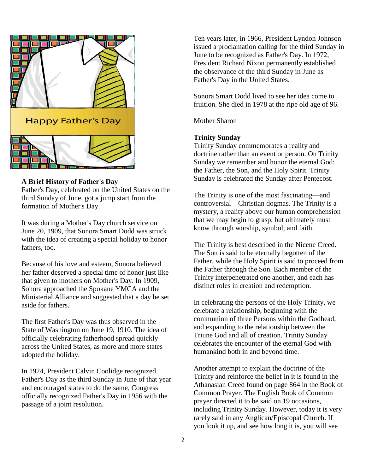

#### **A Brief History of Father's Day**

Father's Day, celebrated on the United States on the third Sunday of June, got a jump start from the formation of Mother's Day.

It was during a Mother's Day church service on June 20, 1909, that Sonora Smart Dodd was struck with the idea of creating a special holiday to honor fathers, too.

Because of his love and esteem, Sonora believed her father deserved a special time of honor just like that given to mothers on Mother's Day. In 1909, Sonora approached the Spokane YMCA and the Ministerial Alliance and suggested that a day be set aside for fathers.

The first Father's Day was thus observed in the State of Washington on June 19, 1910. The idea of officially celebrating fatherhood spread quickly across the United States, as more and more states adopted the holiday.

In 1924, President Calvin Coolidge recognized Father's Day as the third Sunday in June of that year and encouraged states to do the same. Congress officially recognized Father's Day in 1956 with the passage of a joint resolution.

Ten years later, in 1966, President Lyndon Johnson issued a proclamation calling for the third Sunday in June to be recognized as Father's Day. In 1972, President Richard Nixon permanently established the observance of the third Sunday in June as Father's Day in the United States.

Sonora Smart Dodd lived to see her idea come to fruition. She died in 1978 at the ripe old age of 96.

Mother Sharon

#### **Trinity Sunday**

Trinity Sunday commemorates a reality and doctrine rather than an event or person. On Trinity Sunday we remember and honor the eternal God: the Father, the Son, and the Holy Spirit. Trinity Sunday is celebrated the Sunday after Pentecost.

The Trinity is one of the most fascinating—and controversial—Christian dogmas. The Trinity is a mystery, a reality above our human comprehension that we may begin to grasp, but ultimately must know through worship, symbol, and faith.

The Trinity is best described in the Nicene Creed. The Son is said to be eternally begotten of the Father, while the Holy Spirit is said to proceed from the Father through the Son. Each member of the Trinity interpenetrated one another, and each has distinct roles in creation and redemption.

In celebrating the persons of the Holy Trinity, we celebrate a relationship, beginning with the communion of three Persons within the Godhead, and expanding to the relationship between the Triune God and all of creation. Trinity Sunday celebrates the encounter of the eternal God with humankind both in and beyond time.

Another attempt to explain the doctrine of the Trinity and reinforce the belief in it is found in the Athanasian Creed found on page 864 in the Book of Common Prayer. The English Book of Common prayer directed it to be said on 19 occasions, including Trinity Sunday. However, today it is very rarely said in any Anglican/Episcopal Church. If you look it up, and see how long it is, you will see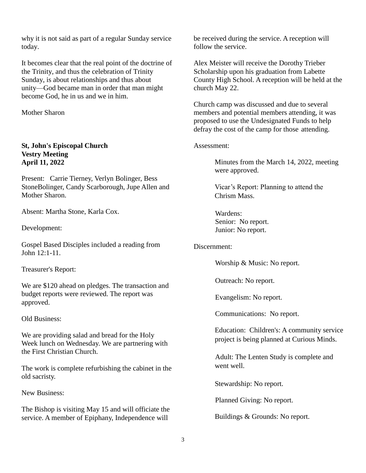why it is not said as part of a regular Sunday service today.

It becomes clear that the real point of the doctrine of the Trinity, and thus the celebration of Trinity Sunday, is about relationships and thus about unity—God became man in order that man might become God, he in us and we in him.

Mother Sharon

#### **St, John's Episcopal Church Vestry Meeting April 11, 2022**

Present: Carrie Tierney, Verlyn Bolinger, Bess StoneBolinger, Candy Scarborough, Jupe Allen and Mother Sharon.

Absent: Martha Stone, Karla Cox.

Development:

Gospel Based Disciples included a reading from John 12:1-11.

Treasurer's Report:

We are \$120 ahead on pledges. The transaction and budget reports were reviewed. The report was approved.

Old Business:

We are providing salad and bread for the Holy Week lunch on Wednesday. We are partnering with the First Christian Church.

The work is complete refurbishing the cabinet in the old sacristy.

New Business:

The Bishop is visiting May 15 and will officiate the service. A member of Epiphany, Independence will

be received during the service. A reception will follow the service.

Alex Meister will receive the Dorothy Trieber Scholarship upon his graduation from Labette County High School. A reception will be held at the church May 22.

Church camp was discussed and due to several members and potential members attending, it was proposed to use the Undesignated Funds to help defray the cost of the camp for those attending.

Assessment:

Minutes from the March 14, 2022, meeting were approved.

Vicar's Report: Planning to attend the Chrism Mass.

Wardens: Senior: No report. Junior: No report.

#### Discernment:

Worship & Music: No report.

Outreach: No report.

Evangelism: No report.

Communications: No report.

Education: Children's: A community service project is being planned at Curious Minds.

Adult: The Lenten Study is complete and went well.

Stewardship: No report.

Planned Giving: No report.

Buildings & Grounds: No report.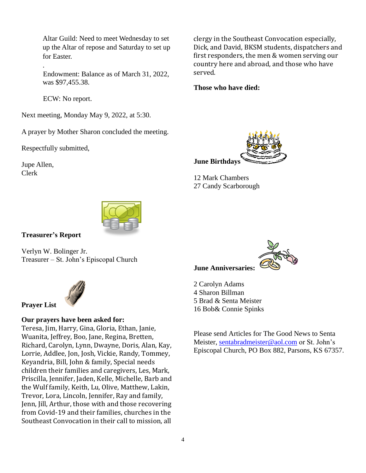Altar Guild: Need to meet Wednesday to set up the Altar of repose and Saturday to set up for Easter.

Endowment: Balance as of March 31, 2022, was \$97,455.38.

ECW: No report.

Next meeting, Monday May 9, 2022, at 5:30.

A prayer by Mother Sharon concluded the meeting.

Respectfully submitted,

Jupe Allen, Clerk

.



#### **Those who have died:**



12 Mark Chambers 27 Candy Scarborough



#### **Treasurer's Report**

Verlyn W. Bolinger Jr. Treasurer – St. John's Episcopal Church



### **Prayer List**

#### **Our prayers have been asked for:**

Teresa, Jim, Harry, Gina, Gloria, Ethan, Janie, Wuanita, Jeffrey, Boo, Jane, Regina, Bretten, Richard, Carolyn, Lynn, Dwayne, Doris, Alan, Kay, Lorrie, Addlee, Jon, Josh, Vickie, Randy, Tommey, Keyandria, Bill, John & family, Special needs children their families and caregivers, Les, Mark, Priscilla, Jennifer, Jaden, Kelle, Michelle, Barb and the Wulf family, Keith, Lu, Olive, Matthew, Lakin, Trevor, Lora, Lincoln, Jennifer, Ray and family, Jenn, Jill, Arthur, those with and those recovering from Covid-19 and their families, churches in the Southeast Convocation in their call to mission, all



#### **June Anniversaries:**

2 Carolyn Adams 4 Sharon Billman 5 Brad & Senta Meister 16 Bob& Connie Spinks

Please send Articles for The Good News to Senta Meister, [sentabradmeister@aol.com](mailto:sentabradmeister@aol.com) or St. John's Episcopal Church, PO Box 882, Parsons, KS 67357.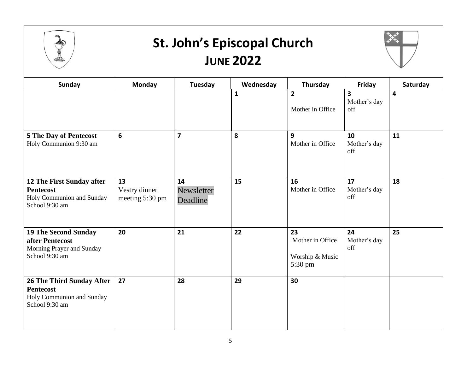

### **St. John's Episcopal Church JUNE 2022**



| Sunday                                                                                              | <b>Monday</b>                          | Tuesday                      | Wednesday    | Thursday                                             | Friday                                         | Saturday |
|-----------------------------------------------------------------------------------------------------|----------------------------------------|------------------------------|--------------|------------------------------------------------------|------------------------------------------------|----------|
|                                                                                                     |                                        |                              | $\mathbf{1}$ | $\overline{2}$<br>Mother in Office                   | $\overline{\mathbf{3}}$<br>Mother's day<br>off | 4        |
| <b>5 The Day of Pentecost</b><br>Holy Communion 9:30 am                                             | 6                                      | $\overline{\mathbf{z}}$      | 8            | 9<br>Mother in Office                                | 10<br>Mother's day<br>off                      | 11       |
| <b>12 The First Sunday after</b><br><b>Pentecost</b><br>Holy Communion and Sunday<br>School 9:30 am | 13<br>Vestry dinner<br>meeting 5:30 pm | 14<br>Newsletter<br>Deadline | 15           | 16<br>Mother in Office                               | 17<br>Mother's day<br>off                      | 18       |
| <b>19 The Second Sunday</b><br>after Pentecost<br>Morning Prayer and Sunday<br>School 9:30 am       | 20                                     | 21                           | 22           | 23<br>Mother in Office<br>Worship & Music<br>5:30 pm | 24<br>Mother's day<br>off                      | 25       |
| <b>26 The Third Sunday After</b><br><b>Pentecost</b><br>Holy Communion and Sunday<br>School 9:30 am | 27                                     | 28                           | 29           | 30                                                   |                                                |          |